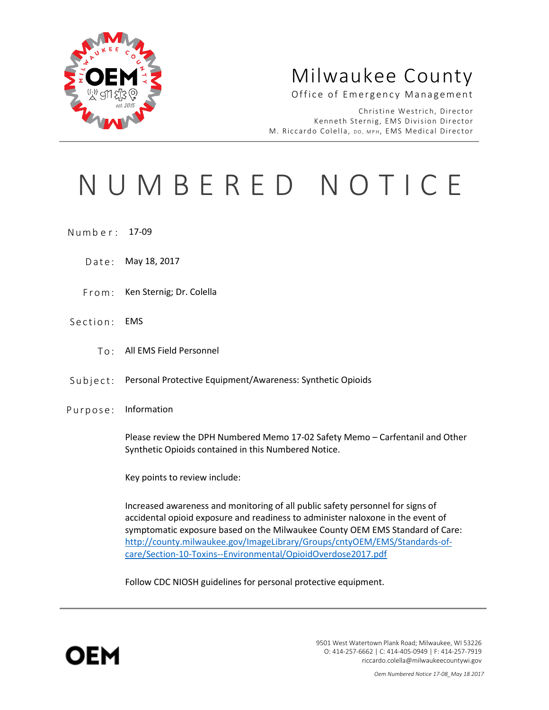

## Milwaukee County

#### Office of Emergency Management

Christine Westrich, Director Kenneth Sternig, EMS Division Director M. Riccardo Colella, DO, MPH, EMS Medical Director

# NUMBERED NOTICE

- Numb e r : 17-09
	- Date: May 18, 2017
	- From: Ken Sternig; Dr. Colella
- Section: EMS
	- To: All EMS Field Personnel
- Subject: Personal Protective Equipment/Awareness: Synthetic Opioids
- Purpose: Information

Please review the DPH Numbered Memo 17-02 Safety Memo – Carfentanil and Other Synthetic Opioids contained in this Numbered Notice.

Key points to review include:

Increased awareness and monitoring of all public safety personnel for signs of accidental opioid exposure and readiness to administer naloxone in the event of symptomatic exposure based on the Milwaukee County OEM EMS Standard of Care: [http://county.milwaukee.gov/ImageLibrary/Groups/cntyOEM/EMS/Standards-of](http://county.milwaukee.gov/ImageLibrary/Groups/cntyOEM/EMS/Standards-of-care/Section-10-Toxins--Environmental/OpioidOverdose2017.pdf)[care/Section-10-Toxins--Environmental/OpioidOverdose2017.pdf](http://county.milwaukee.gov/ImageLibrary/Groups/cntyOEM/EMS/Standards-of-care/Section-10-Toxins--Environmental/OpioidOverdose2017.pdf)

Follow CDC NIOSH guidelines for personal protective equipment.



9501 West Watertown Plank Road; Milwaukee, WI 53226 O: 414-257-6662 | C: 414-405-0949 | F: 414-257-7919 riccardo.colella@milwaukeecountywi.gov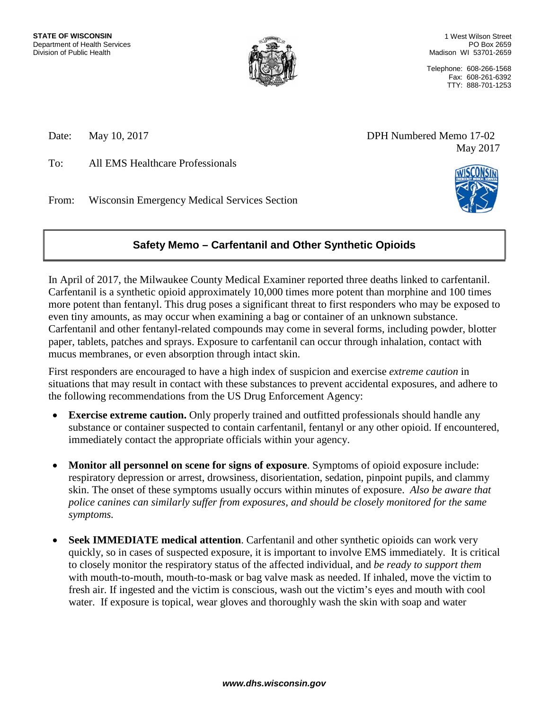

1 West Wilson Street PO Box 2659 Madison WI 53701-2659

Telephone: 608-266-1568 Fax: 608-261-6392 TTY: 888-701-1253

To: All EMS Healthcare Professionals

From: Wisconsin Emergency Medical Services Section





### **Safety Memo – Carfentanil and Other Synthetic Opioids**

In April of 2017, the Milwaukee County Medical Examiner reported three deaths linked to carfentanil. Carfentanil is a synthetic opioid approximately 10,000 times more potent than morphine and 100 times more potent than fentanyl. This drug poses a significant threat to first responders who may be exposed to even tiny amounts, as may occur when examining a bag or container of an unknown substance. Carfentanil and other fentanyl-related compounds may come in several forms, including powder, blotter paper, tablets, patches and sprays. Exposure to carfentanil can occur through inhalation, contact with mucus membranes, or even absorption through intact skin.

First responders are encouraged to have a high index of suspicion and exercise *extreme caution* in situations that may result in contact with these substances to prevent accidental exposures, and adhere to the following recommendations from the US Drug Enforcement Agency:

- **Exercise extreme caution.** Only properly trained and outfitted professionals should handle any substance or container suspected to contain carfentanil, fentanyl or any other opioid. If encountered, immediately contact the appropriate officials within your agency.
- **Monitor all personnel on scene for signs of exposure**. Symptoms of opioid exposure include: respiratory depression or arrest, drowsiness, disorientation, sedation, pinpoint pupils, and clammy skin. The onset of these symptoms usually occurs within minutes of exposure. *Also be aware that police canines can similarly suffer from exposures, and should be closely monitored for the same symptoms.*
- **Seek IMMEDIATE medical attention**. Carfentanil and other synthetic opioids can work very quickly, so in cases of suspected exposure, it is important to involve EMS immediately. It is critical to closely monitor the respiratory status of the affected individual, and *be ready to support them* with mouth-to-mouth, mouth-to-mask or bag valve mask as needed. If inhaled, move the victim to fresh air. If ingested and the victim is conscious, wash out the victim's eyes and mouth with cool water. If exposure is topical, wear gloves and thoroughly wash the skin with soap and water